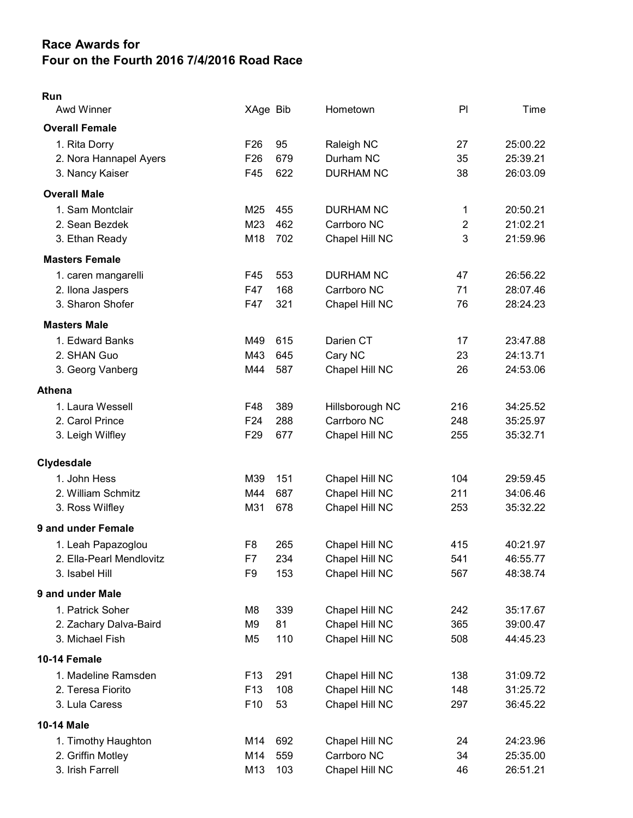## Race Awards for Four on the Fourth 2016 7/4/2016 Road Race

## Run

| <b>Awd Winner</b>        | XAge Bib        |     | Hometown         | PI  | Time     |
|--------------------------|-----------------|-----|------------------|-----|----------|
| <b>Overall Female</b>    |                 |     |                  |     |          |
| 1. Rita Dorry            | F <sub>26</sub> | 95  | Raleigh NC       | 27  | 25:00.22 |
| 2. Nora Hannapel Ayers   | F <sub>26</sub> | 679 | Durham NC        | 35  | 25:39.21 |
| 3. Nancy Kaiser          | F45             | 622 | <b>DURHAM NC</b> | 38  | 26:03.09 |
| <b>Overall Male</b>      |                 |     |                  |     |          |
| 1. Sam Montclair         | M25             | 455 | <b>DURHAM NC</b> | 1   | 20:50.21 |
| 2. Sean Bezdek           | M23             | 462 | Carrboro NC      | 2   | 21:02.21 |
| 3. Ethan Ready           | M18             | 702 | Chapel Hill NC   | 3   | 21:59.96 |
| <b>Masters Female</b>    |                 |     |                  |     |          |
| 1. caren mangarelli      | F45             | 553 | <b>DURHAM NC</b> | 47  | 26:56.22 |
| 2. Ilona Jaspers         | F47             | 168 | Carrboro NC      | 71  | 28:07.46 |
| 3. Sharon Shofer         | F47             | 321 | Chapel Hill NC   | 76  | 28:24.23 |
| <b>Masters Male</b>      |                 |     |                  |     |          |
| 1. Edward Banks          | M49             | 615 | Darien CT        | 17  | 23:47.88 |
| 2. SHAN Guo              | M43             | 645 | Cary NC          | 23  | 24:13.71 |
| 3. Georg Vanberg         | M44             | 587 | Chapel Hill NC   | 26  | 24:53.06 |
| Athena                   |                 |     |                  |     |          |
| 1. Laura Wessell         | F48             | 389 | Hillsborough NC  | 216 | 34:25.52 |
| 2. Carol Prince          | F <sub>24</sub> | 288 | Carrboro NC      | 248 | 35:25.97 |
| 3. Leigh Wilfley         | F <sub>29</sub> | 677 | Chapel Hill NC   | 255 | 35:32.71 |
| <b>Clydesdale</b>        |                 |     |                  |     |          |
| 1. John Hess             | M39             | 151 | Chapel Hill NC   | 104 | 29:59.45 |
| 2. William Schmitz       | M44             | 687 | Chapel Hill NC   | 211 | 34:06.46 |
| 3. Ross Wilfley          | M31             | 678 | Chapel Hill NC   | 253 | 35:32.22 |
| 9 and under Female       |                 |     |                  |     |          |
| 1. Leah Papazoglou       | F <sub>8</sub>  | 265 | Chapel Hill NC   | 415 | 40:21.97 |
| 2. Ella-Pearl Mendlovitz | F7              | 234 | Chapel Hill NC   | 541 | 46:55.77 |
| 3. Isabel Hill           | F9              | 153 | Chapel Hill NC   | 567 | 48:38.74 |
| 9 and under Male         |                 |     |                  |     |          |
| 1. Patrick Soher         | M8              | 339 | Chapel Hill NC   | 242 | 35:17.67 |
| 2. Zachary Dalva-Baird   | M9              | 81  | Chapel Hill NC   | 365 | 39:00.47 |
| 3. Michael Fish          | M <sub>5</sub>  | 110 | Chapel Hill NC   | 508 | 44:45.23 |
| 10-14 Female             |                 |     |                  |     |          |
| 1. Madeline Ramsden      | F <sub>13</sub> | 291 | Chapel Hill NC   | 138 | 31:09.72 |
| 2. Teresa Fiorito        | F <sub>13</sub> | 108 | Chapel Hill NC   | 148 | 31:25.72 |
| 3. Lula Caress           | F10             | 53  | Chapel Hill NC   | 297 | 36:45.22 |
| 10-14 Male               |                 |     |                  |     |          |
| 1. Timothy Haughton      | M14             | 692 | Chapel Hill NC   | 24  | 24:23.96 |
| 2. Griffin Motley        | M14             | 559 | Carrboro NC      | 34  | 25:35.00 |
| 3. Irish Farrell         | M13             | 103 | Chapel Hill NC   | 46  | 26:51.21 |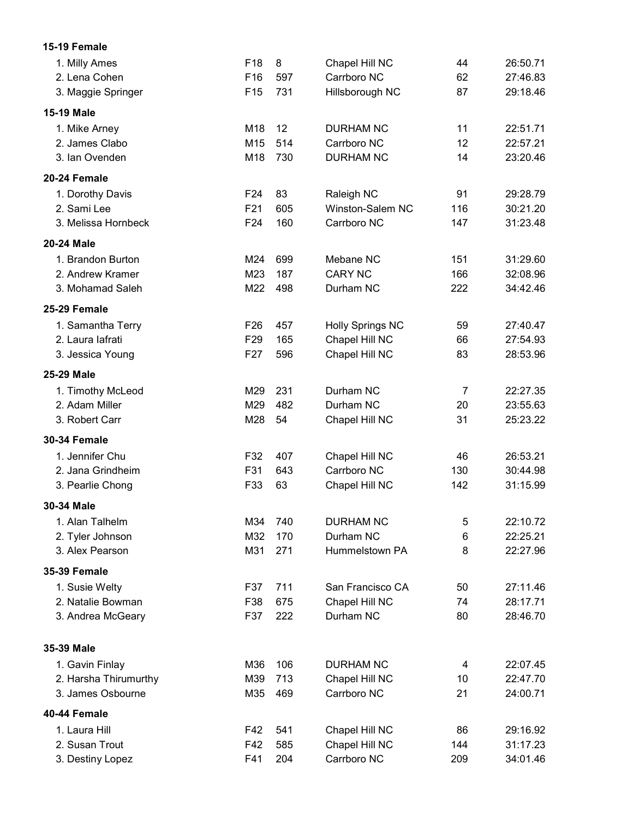| F18<br>8<br>1. Milly Ames<br>Chapel Hill NC<br>44<br>26:50.71<br>Carrboro NC<br>2. Lena Cohen<br>F16<br>597<br>62<br>27:46.83<br>F <sub>15</sub><br>731<br>87<br>29:18.46<br>3. Maggie Springer<br>Hillsborough NC<br><b>15-19 Male</b><br>12<br>22:51.71<br>M18<br><b>DURHAM NC</b><br>11<br>1. Mike Arney<br>2. James Clabo<br>M15<br>514<br>Carrboro NC<br>12<br>22:57.21<br>730<br><b>DURHAM NC</b><br>14<br>23:20.46<br>3. Ian Ovenden<br>M18<br>F <sub>24</sub><br>83<br>91<br>29:28.79<br>1. Dorothy Davis<br>Raleigh NC<br>2. Sami Lee<br>F21<br>605<br>Winston-Salem NC<br>116<br>30:21.20<br>F24<br>160<br>Carrboro NC<br>147<br>31:23.48<br>3. Melissa Hornbeck<br>Mebane NC<br>31:29.60<br>1. Brandon Burton<br>M24<br>699<br>151<br>M23<br>187<br><b>CARY NC</b><br>166<br>32:08.96<br>2. Andrew Kramer<br>3. Mohamad Saleh<br>M22<br>498<br>Durham NC<br>222<br>34:42.46<br>27:40.47<br>1. Samantha Terry<br>F <sub>26</sub><br>457<br><b>Holly Springs NC</b><br>59<br>2. Laura lafrati<br>Chapel Hill NC<br>27:54.93<br>F <sub>29</sub><br>165<br>66<br>596<br>Chapel Hill NC<br>28:53.96<br>3. Jessica Young<br>F <sub>27</sub><br>83<br>M29<br>231<br>Durham NC<br>$\overline{7}$<br>22:27.35<br>1. Timothy McLeod<br>2. Adam Miller<br>M29<br>482<br>23:55.63<br>Durham NC<br>20<br>M28<br>54<br>31<br>25:23.22<br>3. Robert Carr<br>Chapel Hill NC<br>1. Jennifer Chu<br>Chapel Hill NC<br>26:53.21<br>F32<br>407<br>46<br>2. Jana Grindheim<br>F31<br>Carrboro NC<br>130<br>30:44.98<br>643<br>F33<br>63<br>Chapel Hill NC<br>142<br>31:15.99<br>3. Pearlie Chong<br>30-34 Male<br>1. Alan Talhelm<br>M34<br>740<br><b>DURHAM NC</b><br>5<br>22:10.72<br>M32<br>Durham NC<br>22:25.21<br>2. Tyler Johnson<br>170<br>6<br>3. Alex Pearson<br>M31<br>271<br>Hummelstown PA<br>22:27.96<br>8<br>1. Susie Welty<br>711<br>San Francisco CA<br>27:11.46<br>F37<br>50<br>2. Natalie Bowman<br>F38<br>675<br>Chapel Hill NC<br>74<br>28:17.71<br>F37<br>Durham NC<br>28:46.70<br>3. Andrea McGeary<br>222<br>80<br>35-39 Male<br>1. Gavin Finlay<br>M36<br>106<br><b>DURHAM NC</b><br>22:07.45<br>4<br>2. Harsha Thirumurthy<br>M39<br>713<br>Chapel Hill NC<br>22:47.70<br>10<br>3. James Osbourne<br>469<br>Carrboro NC<br>24:00.71<br>M35<br>21<br>1. Laura Hill<br>29:16.92<br>F42<br>541<br>Chapel Hill NC<br>86<br>Chapel Hill NC<br>2. Susan Trout<br>F42<br>585<br>144<br>31:17.23<br>Carrboro NC<br>3. Destiny Lopez<br>F41<br>204<br>34:01.46<br>209 | 15-19 Female        |  |  |  |
|------------------------------------------------------------------------------------------------------------------------------------------------------------------------------------------------------------------------------------------------------------------------------------------------------------------------------------------------------------------------------------------------------------------------------------------------------------------------------------------------------------------------------------------------------------------------------------------------------------------------------------------------------------------------------------------------------------------------------------------------------------------------------------------------------------------------------------------------------------------------------------------------------------------------------------------------------------------------------------------------------------------------------------------------------------------------------------------------------------------------------------------------------------------------------------------------------------------------------------------------------------------------------------------------------------------------------------------------------------------------------------------------------------------------------------------------------------------------------------------------------------------------------------------------------------------------------------------------------------------------------------------------------------------------------------------------------------------------------------------------------------------------------------------------------------------------------------------------------------------------------------------------------------------------------------------------------------------------------------------------------------------------------------------------------------------------------------------------------------------------------------------------------------------------------------------------------------------------------------------------------------------------------------------------------------------------------------------------------------------------------------------------------------------------------------------------------------------------------|---------------------|--|--|--|
|                                                                                                                                                                                                                                                                                                                                                                                                                                                                                                                                                                                                                                                                                                                                                                                                                                                                                                                                                                                                                                                                                                                                                                                                                                                                                                                                                                                                                                                                                                                                                                                                                                                                                                                                                                                                                                                                                                                                                                                                                                                                                                                                                                                                                                                                                                                                                                                                                                                                              |                     |  |  |  |
|                                                                                                                                                                                                                                                                                                                                                                                                                                                                                                                                                                                                                                                                                                                                                                                                                                                                                                                                                                                                                                                                                                                                                                                                                                                                                                                                                                                                                                                                                                                                                                                                                                                                                                                                                                                                                                                                                                                                                                                                                                                                                                                                                                                                                                                                                                                                                                                                                                                                              |                     |  |  |  |
|                                                                                                                                                                                                                                                                                                                                                                                                                                                                                                                                                                                                                                                                                                                                                                                                                                                                                                                                                                                                                                                                                                                                                                                                                                                                                                                                                                                                                                                                                                                                                                                                                                                                                                                                                                                                                                                                                                                                                                                                                                                                                                                                                                                                                                                                                                                                                                                                                                                                              |                     |  |  |  |
|                                                                                                                                                                                                                                                                                                                                                                                                                                                                                                                                                                                                                                                                                                                                                                                                                                                                                                                                                                                                                                                                                                                                                                                                                                                                                                                                                                                                                                                                                                                                                                                                                                                                                                                                                                                                                                                                                                                                                                                                                                                                                                                                                                                                                                                                                                                                                                                                                                                                              |                     |  |  |  |
|                                                                                                                                                                                                                                                                                                                                                                                                                                                                                                                                                                                                                                                                                                                                                                                                                                                                                                                                                                                                                                                                                                                                                                                                                                                                                                                                                                                                                                                                                                                                                                                                                                                                                                                                                                                                                                                                                                                                                                                                                                                                                                                                                                                                                                                                                                                                                                                                                                                                              |                     |  |  |  |
|                                                                                                                                                                                                                                                                                                                                                                                                                                                                                                                                                                                                                                                                                                                                                                                                                                                                                                                                                                                                                                                                                                                                                                                                                                                                                                                                                                                                                                                                                                                                                                                                                                                                                                                                                                                                                                                                                                                                                                                                                                                                                                                                                                                                                                                                                                                                                                                                                                                                              |                     |  |  |  |
|                                                                                                                                                                                                                                                                                                                                                                                                                                                                                                                                                                                                                                                                                                                                                                                                                                                                                                                                                                                                                                                                                                                                                                                                                                                                                                                                                                                                                                                                                                                                                                                                                                                                                                                                                                                                                                                                                                                                                                                                                                                                                                                                                                                                                                                                                                                                                                                                                                                                              |                     |  |  |  |
|                                                                                                                                                                                                                                                                                                                                                                                                                                                                                                                                                                                                                                                                                                                                                                                                                                                                                                                                                                                                                                                                                                                                                                                                                                                                                                                                                                                                                                                                                                                                                                                                                                                                                                                                                                                                                                                                                                                                                                                                                                                                                                                                                                                                                                                                                                                                                                                                                                                                              | 20-24 Female        |  |  |  |
|                                                                                                                                                                                                                                                                                                                                                                                                                                                                                                                                                                                                                                                                                                                                                                                                                                                                                                                                                                                                                                                                                                                                                                                                                                                                                                                                                                                                                                                                                                                                                                                                                                                                                                                                                                                                                                                                                                                                                                                                                                                                                                                                                                                                                                                                                                                                                                                                                                                                              |                     |  |  |  |
|                                                                                                                                                                                                                                                                                                                                                                                                                                                                                                                                                                                                                                                                                                                                                                                                                                                                                                                                                                                                                                                                                                                                                                                                                                                                                                                                                                                                                                                                                                                                                                                                                                                                                                                                                                                                                                                                                                                                                                                                                                                                                                                                                                                                                                                                                                                                                                                                                                                                              |                     |  |  |  |
|                                                                                                                                                                                                                                                                                                                                                                                                                                                                                                                                                                                                                                                                                                                                                                                                                                                                                                                                                                                                                                                                                                                                                                                                                                                                                                                                                                                                                                                                                                                                                                                                                                                                                                                                                                                                                                                                                                                                                                                                                                                                                                                                                                                                                                                                                                                                                                                                                                                                              |                     |  |  |  |
|                                                                                                                                                                                                                                                                                                                                                                                                                                                                                                                                                                                                                                                                                                                                                                                                                                                                                                                                                                                                                                                                                                                                                                                                                                                                                                                                                                                                                                                                                                                                                                                                                                                                                                                                                                                                                                                                                                                                                                                                                                                                                                                                                                                                                                                                                                                                                                                                                                                                              | 20-24 Male          |  |  |  |
|                                                                                                                                                                                                                                                                                                                                                                                                                                                                                                                                                                                                                                                                                                                                                                                                                                                                                                                                                                                                                                                                                                                                                                                                                                                                                                                                                                                                                                                                                                                                                                                                                                                                                                                                                                                                                                                                                                                                                                                                                                                                                                                                                                                                                                                                                                                                                                                                                                                                              |                     |  |  |  |
|                                                                                                                                                                                                                                                                                                                                                                                                                                                                                                                                                                                                                                                                                                                                                                                                                                                                                                                                                                                                                                                                                                                                                                                                                                                                                                                                                                                                                                                                                                                                                                                                                                                                                                                                                                                                                                                                                                                                                                                                                                                                                                                                                                                                                                                                                                                                                                                                                                                                              |                     |  |  |  |
|                                                                                                                                                                                                                                                                                                                                                                                                                                                                                                                                                                                                                                                                                                                                                                                                                                                                                                                                                                                                                                                                                                                                                                                                                                                                                                                                                                                                                                                                                                                                                                                                                                                                                                                                                                                                                                                                                                                                                                                                                                                                                                                                                                                                                                                                                                                                                                                                                                                                              |                     |  |  |  |
|                                                                                                                                                                                                                                                                                                                                                                                                                                                                                                                                                                                                                                                                                                                                                                                                                                                                                                                                                                                                                                                                                                                                                                                                                                                                                                                                                                                                                                                                                                                                                                                                                                                                                                                                                                                                                                                                                                                                                                                                                                                                                                                                                                                                                                                                                                                                                                                                                                                                              | 25-29 Female        |  |  |  |
|                                                                                                                                                                                                                                                                                                                                                                                                                                                                                                                                                                                                                                                                                                                                                                                                                                                                                                                                                                                                                                                                                                                                                                                                                                                                                                                                                                                                                                                                                                                                                                                                                                                                                                                                                                                                                                                                                                                                                                                                                                                                                                                                                                                                                                                                                                                                                                                                                                                                              |                     |  |  |  |
|                                                                                                                                                                                                                                                                                                                                                                                                                                                                                                                                                                                                                                                                                                                                                                                                                                                                                                                                                                                                                                                                                                                                                                                                                                                                                                                                                                                                                                                                                                                                                                                                                                                                                                                                                                                                                                                                                                                                                                                                                                                                                                                                                                                                                                                                                                                                                                                                                                                                              |                     |  |  |  |
|                                                                                                                                                                                                                                                                                                                                                                                                                                                                                                                                                                                                                                                                                                                                                                                                                                                                                                                                                                                                                                                                                                                                                                                                                                                                                                                                                                                                                                                                                                                                                                                                                                                                                                                                                                                                                                                                                                                                                                                                                                                                                                                                                                                                                                                                                                                                                                                                                                                                              |                     |  |  |  |
|                                                                                                                                                                                                                                                                                                                                                                                                                                                                                                                                                                                                                                                                                                                                                                                                                                                                                                                                                                                                                                                                                                                                                                                                                                                                                                                                                                                                                                                                                                                                                                                                                                                                                                                                                                                                                                                                                                                                                                                                                                                                                                                                                                                                                                                                                                                                                                                                                                                                              | 25-29 Male          |  |  |  |
|                                                                                                                                                                                                                                                                                                                                                                                                                                                                                                                                                                                                                                                                                                                                                                                                                                                                                                                                                                                                                                                                                                                                                                                                                                                                                                                                                                                                                                                                                                                                                                                                                                                                                                                                                                                                                                                                                                                                                                                                                                                                                                                                                                                                                                                                                                                                                                                                                                                                              |                     |  |  |  |
|                                                                                                                                                                                                                                                                                                                                                                                                                                                                                                                                                                                                                                                                                                                                                                                                                                                                                                                                                                                                                                                                                                                                                                                                                                                                                                                                                                                                                                                                                                                                                                                                                                                                                                                                                                                                                                                                                                                                                                                                                                                                                                                                                                                                                                                                                                                                                                                                                                                                              |                     |  |  |  |
|                                                                                                                                                                                                                                                                                                                                                                                                                                                                                                                                                                                                                                                                                                                                                                                                                                                                                                                                                                                                                                                                                                                                                                                                                                                                                                                                                                                                                                                                                                                                                                                                                                                                                                                                                                                                                                                                                                                                                                                                                                                                                                                                                                                                                                                                                                                                                                                                                                                                              |                     |  |  |  |
|                                                                                                                                                                                                                                                                                                                                                                                                                                                                                                                                                                                                                                                                                                                                                                                                                                                                                                                                                                                                                                                                                                                                                                                                                                                                                                                                                                                                                                                                                                                                                                                                                                                                                                                                                                                                                                                                                                                                                                                                                                                                                                                                                                                                                                                                                                                                                                                                                                                                              | <b>30-34 Female</b> |  |  |  |
|                                                                                                                                                                                                                                                                                                                                                                                                                                                                                                                                                                                                                                                                                                                                                                                                                                                                                                                                                                                                                                                                                                                                                                                                                                                                                                                                                                                                                                                                                                                                                                                                                                                                                                                                                                                                                                                                                                                                                                                                                                                                                                                                                                                                                                                                                                                                                                                                                                                                              |                     |  |  |  |
|                                                                                                                                                                                                                                                                                                                                                                                                                                                                                                                                                                                                                                                                                                                                                                                                                                                                                                                                                                                                                                                                                                                                                                                                                                                                                                                                                                                                                                                                                                                                                                                                                                                                                                                                                                                                                                                                                                                                                                                                                                                                                                                                                                                                                                                                                                                                                                                                                                                                              |                     |  |  |  |
|                                                                                                                                                                                                                                                                                                                                                                                                                                                                                                                                                                                                                                                                                                                                                                                                                                                                                                                                                                                                                                                                                                                                                                                                                                                                                                                                                                                                                                                                                                                                                                                                                                                                                                                                                                                                                                                                                                                                                                                                                                                                                                                                                                                                                                                                                                                                                                                                                                                                              |                     |  |  |  |
|                                                                                                                                                                                                                                                                                                                                                                                                                                                                                                                                                                                                                                                                                                                                                                                                                                                                                                                                                                                                                                                                                                                                                                                                                                                                                                                                                                                                                                                                                                                                                                                                                                                                                                                                                                                                                                                                                                                                                                                                                                                                                                                                                                                                                                                                                                                                                                                                                                                                              |                     |  |  |  |
|                                                                                                                                                                                                                                                                                                                                                                                                                                                                                                                                                                                                                                                                                                                                                                                                                                                                                                                                                                                                                                                                                                                                                                                                                                                                                                                                                                                                                                                                                                                                                                                                                                                                                                                                                                                                                                                                                                                                                                                                                                                                                                                                                                                                                                                                                                                                                                                                                                                                              |                     |  |  |  |
|                                                                                                                                                                                                                                                                                                                                                                                                                                                                                                                                                                                                                                                                                                                                                                                                                                                                                                                                                                                                                                                                                                                                                                                                                                                                                                                                                                                                                                                                                                                                                                                                                                                                                                                                                                                                                                                                                                                                                                                                                                                                                                                                                                                                                                                                                                                                                                                                                                                                              |                     |  |  |  |
|                                                                                                                                                                                                                                                                                                                                                                                                                                                                                                                                                                                                                                                                                                                                                                                                                                                                                                                                                                                                                                                                                                                                                                                                                                                                                                                                                                                                                                                                                                                                                                                                                                                                                                                                                                                                                                                                                                                                                                                                                                                                                                                                                                                                                                                                                                                                                                                                                                                                              |                     |  |  |  |
|                                                                                                                                                                                                                                                                                                                                                                                                                                                                                                                                                                                                                                                                                                                                                                                                                                                                                                                                                                                                                                                                                                                                                                                                                                                                                                                                                                                                                                                                                                                                                                                                                                                                                                                                                                                                                                                                                                                                                                                                                                                                                                                                                                                                                                                                                                                                                                                                                                                                              | <b>35-39 Female</b> |  |  |  |
|                                                                                                                                                                                                                                                                                                                                                                                                                                                                                                                                                                                                                                                                                                                                                                                                                                                                                                                                                                                                                                                                                                                                                                                                                                                                                                                                                                                                                                                                                                                                                                                                                                                                                                                                                                                                                                                                                                                                                                                                                                                                                                                                                                                                                                                                                                                                                                                                                                                                              |                     |  |  |  |
|                                                                                                                                                                                                                                                                                                                                                                                                                                                                                                                                                                                                                                                                                                                                                                                                                                                                                                                                                                                                                                                                                                                                                                                                                                                                                                                                                                                                                                                                                                                                                                                                                                                                                                                                                                                                                                                                                                                                                                                                                                                                                                                                                                                                                                                                                                                                                                                                                                                                              |                     |  |  |  |
|                                                                                                                                                                                                                                                                                                                                                                                                                                                                                                                                                                                                                                                                                                                                                                                                                                                                                                                                                                                                                                                                                                                                                                                                                                                                                                                                                                                                                                                                                                                                                                                                                                                                                                                                                                                                                                                                                                                                                                                                                                                                                                                                                                                                                                                                                                                                                                                                                                                                              |                     |  |  |  |
|                                                                                                                                                                                                                                                                                                                                                                                                                                                                                                                                                                                                                                                                                                                                                                                                                                                                                                                                                                                                                                                                                                                                                                                                                                                                                                                                                                                                                                                                                                                                                                                                                                                                                                                                                                                                                                                                                                                                                                                                                                                                                                                                                                                                                                                                                                                                                                                                                                                                              |                     |  |  |  |
|                                                                                                                                                                                                                                                                                                                                                                                                                                                                                                                                                                                                                                                                                                                                                                                                                                                                                                                                                                                                                                                                                                                                                                                                                                                                                                                                                                                                                                                                                                                                                                                                                                                                                                                                                                                                                                                                                                                                                                                                                                                                                                                                                                                                                                                                                                                                                                                                                                                                              |                     |  |  |  |
|                                                                                                                                                                                                                                                                                                                                                                                                                                                                                                                                                                                                                                                                                                                                                                                                                                                                                                                                                                                                                                                                                                                                                                                                                                                                                                                                                                                                                                                                                                                                                                                                                                                                                                                                                                                                                                                                                                                                                                                                                                                                                                                                                                                                                                                                                                                                                                                                                                                                              |                     |  |  |  |
|                                                                                                                                                                                                                                                                                                                                                                                                                                                                                                                                                                                                                                                                                                                                                                                                                                                                                                                                                                                                                                                                                                                                                                                                                                                                                                                                                                                                                                                                                                                                                                                                                                                                                                                                                                                                                                                                                                                                                                                                                                                                                                                                                                                                                                                                                                                                                                                                                                                                              |                     |  |  |  |
|                                                                                                                                                                                                                                                                                                                                                                                                                                                                                                                                                                                                                                                                                                                                                                                                                                                                                                                                                                                                                                                                                                                                                                                                                                                                                                                                                                                                                                                                                                                                                                                                                                                                                                                                                                                                                                                                                                                                                                                                                                                                                                                                                                                                                                                                                                                                                                                                                                                                              | 40-44 Female        |  |  |  |
|                                                                                                                                                                                                                                                                                                                                                                                                                                                                                                                                                                                                                                                                                                                                                                                                                                                                                                                                                                                                                                                                                                                                                                                                                                                                                                                                                                                                                                                                                                                                                                                                                                                                                                                                                                                                                                                                                                                                                                                                                                                                                                                                                                                                                                                                                                                                                                                                                                                                              |                     |  |  |  |
|                                                                                                                                                                                                                                                                                                                                                                                                                                                                                                                                                                                                                                                                                                                                                                                                                                                                                                                                                                                                                                                                                                                                                                                                                                                                                                                                                                                                                                                                                                                                                                                                                                                                                                                                                                                                                                                                                                                                                                                                                                                                                                                                                                                                                                                                                                                                                                                                                                                                              |                     |  |  |  |
|                                                                                                                                                                                                                                                                                                                                                                                                                                                                                                                                                                                                                                                                                                                                                                                                                                                                                                                                                                                                                                                                                                                                                                                                                                                                                                                                                                                                                                                                                                                                                                                                                                                                                                                                                                                                                                                                                                                                                                                                                                                                                                                                                                                                                                                                                                                                                                                                                                                                              |                     |  |  |  |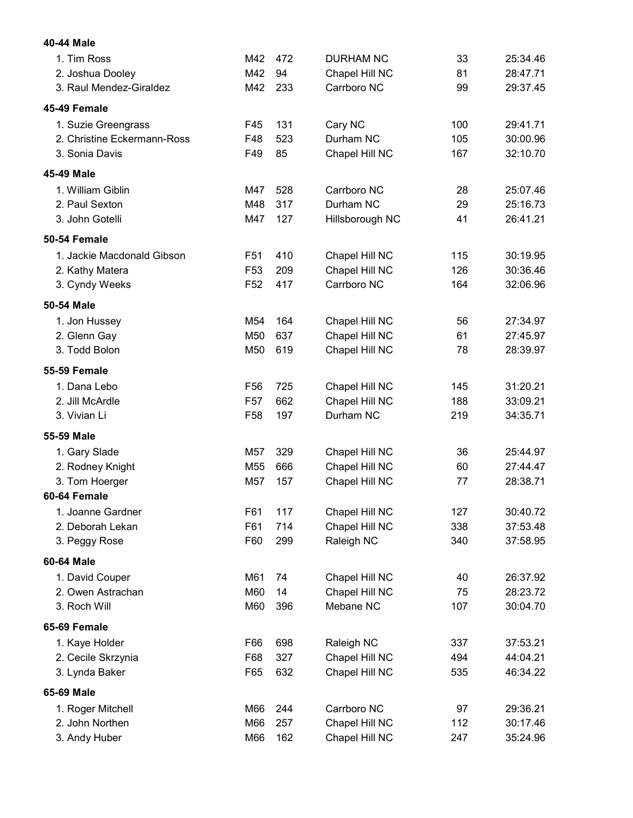| 40-44 Male                  |                 |     |                  |     |          |
|-----------------------------|-----------------|-----|------------------|-----|----------|
| 1. Tim Ross                 | M42             | 472 | <b>DURHAM NC</b> | 33  | 25:34.46 |
| 2. Joshua Dooley            | M42             | 94  | Chapel Hill NC   | 81  | 28:47.71 |
| 3. Raul Mendez-Giraldez     | M42             | 233 | Carrboro NC      | 99  | 29:37.45 |
| 45-49 Female                |                 |     |                  |     |          |
| 1. Suzie Greengrass         | F45             | 131 | Cary NC          | 100 | 29:41.71 |
| 2. Christine Eckermann-Ross | F48             | 523 | Durham NC        | 105 | 30:00.96 |
| 3. Sonia Davis              | F49             | 85  | Chapel Hill NC   | 167 | 32:10.70 |
| 45-49 Male                  |                 |     |                  |     |          |
| 1. William Giblin           | M47             | 528 | Carrboro NC      | 28  | 25:07.46 |
| 2. Paul Sexton              | M48             | 317 | Durham NC        | 29  | 25:16.73 |
| 3. John Gotelli             | M47             | 127 | Hillsborough NC  | 41  | 26:41.21 |
| 50-54 Female                |                 |     |                  |     |          |
| 1. Jackie Macdonald Gibson  | F <sub>51</sub> | 410 | Chapel Hill NC   | 115 | 30:19.95 |
| 2. Kathy Matera             | F <sub>53</sub> | 209 | Chapel Hill NC   | 126 | 30:36.46 |
| 3. Cyndy Weeks              | F <sub>52</sub> | 417 | Carrboro NC      | 164 | 32:06.96 |
| 50-54 Male                  |                 |     |                  |     |          |
| 1. Jon Hussey               | M54             | 164 | Chapel Hill NC   | 56  | 27:34.97 |
| 2. Glenn Gay                | M50             | 637 | Chapel Hill NC   | 61  | 27:45.97 |
| 3. Todd Bolon               | M50             | 619 | Chapel Hill NC   | 78  | 28:39.97 |
| <b>55-59 Female</b>         |                 |     |                  |     |          |
| 1. Dana Lebo                | F56             | 725 | Chapel Hill NC   | 145 | 31:20.21 |
| 2. Jill McArdle             | F <sub>57</sub> | 662 | Chapel Hill NC   | 188 | 33:09.21 |
| 3. Vivian Li                | F58             | 197 | Durham NC        | 219 | 34:35.71 |
| 55-59 Male                  |                 |     |                  |     |          |
| 1. Gary Slade               | M57             | 329 | Chapel Hill NC   | 36  | 25:44.97 |
| 2. Rodney Knight            | M55             | 666 | Chapel Hill NC   | 60  | 27:44.47 |
| 3. Tom Hoerger              | M57             | 157 | Chapel Hill NC   | 77  | 28:38.71 |
| 60-64 Female                |                 |     |                  |     |          |
| 1. Joanne Gardner           | F61             | 117 | Chapel Hill NC   | 127 | 30:40.72 |
| 2. Deborah Lekan            | F61             | 714 | Chapel Hill NC   | 338 | 37:53.48 |
| 3. Peggy Rose               | F60             | 299 | Raleigh NC       | 340 | 37:58.95 |
| 60-64 Male                  |                 |     |                  |     |          |
| 1. David Couper             | M61             | 74  | Chapel Hill NC   | 40  | 26:37.92 |
| 2. Owen Astrachan           | M60             | 14  | Chapel Hill NC   | 75  | 28:23.72 |
| 3. Roch Will                | M60             | 396 | Mebane NC        | 107 | 30:04.70 |
| 65-69 Female                |                 |     |                  |     |          |
| 1. Kaye Holder              | F66             | 698 | Raleigh NC       | 337 | 37:53.21 |
| 2. Cecile Skrzynia          | F68             | 327 | Chapel Hill NC   | 494 | 44:04.21 |
| 3. Lynda Baker              | F65             | 632 | Chapel Hill NC   | 535 | 46:34.22 |
| 65-69 Male                  |                 |     |                  |     |          |
| 1. Roger Mitchell           | M66             | 244 | Carrboro NC      | 97  | 29:36.21 |
| 2. John Northen             | M66             | 257 | Chapel Hill NC   | 112 | 30:17.46 |
| 3. Andy Huber               | M66             | 162 | Chapel Hill NC   | 247 | 35:24.96 |